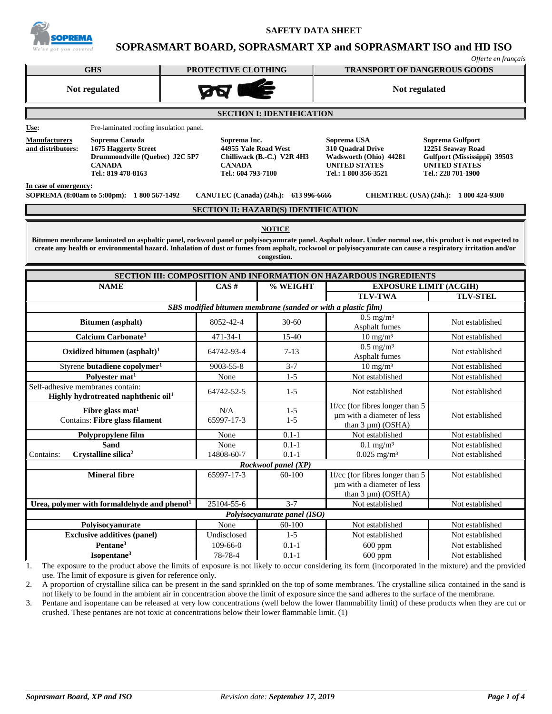

**SAFETY DATA SHEET**

# **SOPRASMART BOARD, SOPRASMART XP and SOPRASMART ISO and HD ISO**

|                                                                                                                                                                                                                                                                                                                                         |                                                                             |                              |                                                                                                            | Offerte en français                                                                                                 |  |  |
|-----------------------------------------------------------------------------------------------------------------------------------------------------------------------------------------------------------------------------------------------------------------------------------------------------------------------------------------|-----------------------------------------------------------------------------|------------------------------|------------------------------------------------------------------------------------------------------------|---------------------------------------------------------------------------------------------------------------------|--|--|
| <b>GHS</b>                                                                                                                                                                                                                                                                                                                              | PROTECTIVE CLOTHING                                                         |                              | <b>TRANSPORT OF DANGEROUS GOODS</b>                                                                        |                                                                                                                     |  |  |
| Not regulated                                                                                                                                                                                                                                                                                                                           |                                                                             |                              | Not regulated                                                                                              |                                                                                                                     |  |  |
| <b>SECTION I: IDENTIFICATION</b>                                                                                                                                                                                                                                                                                                        |                                                                             |                              |                                                                                                            |                                                                                                                     |  |  |
| Pre-laminated roofing insulation panel.<br>Use:                                                                                                                                                                                                                                                                                         |                                                                             |                              |                                                                                                            |                                                                                                                     |  |  |
| <b>Manufacturers</b><br>Soprema Canada<br>and distributors:<br><b>1675 Haggerty Street</b><br>Drummondville (Quebec) J2C 5P7<br><b>CANADA</b><br>Tel.: 819 478-8163                                                                                                                                                                     | Soprema Inc.<br>44955 Yale Road West<br><b>CANADA</b><br>Tel.: 604 793-7100 | Chilliwack (B.-C.) V2R 4H3   | Soprema USA<br>310 Ouadral Drive<br>Wadsworth (Ohio) 44281<br><b>UNITED STATES</b><br>Tel.: 1 800 356-3521 | Soprema Gulfport<br>12251 Seaway Road<br>Gulfport (Mississippi) 39503<br><b>UNITED STATES</b><br>Tel.: 228 701-1900 |  |  |
| In case of emergency:<br>SOPREMA (8:00am to 5:00pm): 1 800 567-1492<br>CANUTEC (Canada) (24h.): 613 996-6666<br>CHEMTREC (USA) (24h.): 1 800 424-9300                                                                                                                                                                                   |                                                                             |                              |                                                                                                            |                                                                                                                     |  |  |
|                                                                                                                                                                                                                                                                                                                                         | <b>SECTION II: HAZARD(S) IDENTIFICATION</b>                                 |                              |                                                                                                            |                                                                                                                     |  |  |
| Bitumen membrane laminated on asphaltic panel, rockwool panel or polyisocyanurate panel. Asphalt odour. Under normal use, this product is not expected to<br>create any health or environmental hazard. Inhalation of dust or fumes from asphalt, rockwool or polyisocyanurate can cause a respiratory irritation and/or<br>congestion. |                                                                             |                              |                                                                                                            |                                                                                                                     |  |  |
|                                                                                                                                                                                                                                                                                                                                         |                                                                             |                              | SECTION III: COMPOSITION AND INFORMATION ON HAZARDOUS INGREDIENTS                                          |                                                                                                                     |  |  |
| <b>NAME</b>                                                                                                                                                                                                                                                                                                                             | CAS#                                                                        | % WEIGHT                     |                                                                                                            | <b>EXPOSURE LIMIT (ACGIH)</b>                                                                                       |  |  |
|                                                                                                                                                                                                                                                                                                                                         |                                                                             |                              | <b>TLV-TWA</b>                                                                                             | <b>TLV-STEL</b>                                                                                                     |  |  |
|                                                                                                                                                                                                                                                                                                                                         | SBS modified bitumen membrane (sanded or with a plastic film)               |                              |                                                                                                            |                                                                                                                     |  |  |
| Bitumen (asphalt)                                                                                                                                                                                                                                                                                                                       | 8052-42-4                                                                   | $30 - 60$                    | $0.5$ mg/m <sup>3</sup><br>Asphalt fumes                                                                   | Not established                                                                                                     |  |  |
| Calcium Carbonate <sup>1</sup>                                                                                                                                                                                                                                                                                                          | 471-34-1                                                                    | $15-40$                      | $10 \text{ mg/m}^3$                                                                                        | Not established                                                                                                     |  |  |
| Oxidized bitumen $(a\text{sphalt})^1$                                                                                                                                                                                                                                                                                                   | 64742-93-4                                                                  | $7-13$                       | $0.5$ mg/m <sup>3</sup><br>Asphalt fumes                                                                   | Not established                                                                                                     |  |  |
| Styrene butadiene copolymer <sup>1</sup>                                                                                                                                                                                                                                                                                                | 9003-55-8                                                                   | $3 - 7$                      | $10 \text{ mg/m}^3$                                                                                        | Not established                                                                                                     |  |  |
| Polyester mat <sup>1</sup>                                                                                                                                                                                                                                                                                                              | None                                                                        | $1 - 5$                      | Not established                                                                                            | Not established                                                                                                     |  |  |
| Self-adhesive membranes contain:<br>Highly hydrotreated naphthenic oil <sup>1</sup>                                                                                                                                                                                                                                                     | 64742-52-5                                                                  | $1 - 5$                      | Not established                                                                                            | Not established                                                                                                     |  |  |
| Fibre glass mat <sup>1</sup><br>Contains: Fibre glass filament                                                                                                                                                                                                                                                                          | N/A<br>65997-17-3                                                           | $1 - 5$<br>$1 - 5$           | 1f/cc (for fibres longer than 5<br>um with a diameter of less<br>than $3 \mu m$ ) (OSHA)                   | Not established                                                                                                     |  |  |
| Polypropylene film                                                                                                                                                                                                                                                                                                                      | None                                                                        | $0.1 - 1$                    | Not established                                                                                            | Not established                                                                                                     |  |  |
| <b>Sand</b><br>Crystalline silica <sup>2</sup><br>Contains:                                                                                                                                                                                                                                                                             | None<br>14808-60-7                                                          | $0.1 - 1$<br>$0.1 - 1$       | $0.1$ mg/m <sup>3</sup><br>$0.025$ mg/m <sup>3</sup>                                                       | Not established<br>Not established                                                                                  |  |  |
|                                                                                                                                                                                                                                                                                                                                         |                                                                             | Rockwool panel (XP)          |                                                                                                            |                                                                                                                     |  |  |
| <b>Mineral fibre</b>                                                                                                                                                                                                                                                                                                                    | 65997-17-3                                                                  | 60-100                       | 1f/cc (for fibres longer than 5<br>um with a diameter of less<br>than $3 \mu m$ ) (OSHA)                   | Not established                                                                                                     |  |  |
| Urea, polymer with formaldehyde and phenol <sup>1</sup>                                                                                                                                                                                                                                                                                 | 25104-55-6                                                                  | $3 - 7$                      | Not established                                                                                            | Not established                                                                                                     |  |  |
|                                                                                                                                                                                                                                                                                                                                         |                                                                             | Polyisocyanurate panel (ISO) |                                                                                                            |                                                                                                                     |  |  |
| Polyisocyanurate                                                                                                                                                                                                                                                                                                                        | None                                                                        | 60-100                       | Not established                                                                                            | Not established                                                                                                     |  |  |
| <b>Exclusive additives (panel)</b>                                                                                                                                                                                                                                                                                                      | Undisclosed                                                                 | $1 - 5$                      | Not established                                                                                            | Not established                                                                                                     |  |  |
| Pentane <sup>3</sup>                                                                                                                                                                                                                                                                                                                    | 109-66-0                                                                    | $0.1 - 1$                    | $600$ ppm                                                                                                  | Not established                                                                                                     |  |  |
| Isopentane <sup>3</sup>                                                                                                                                                                                                                                                                                                                 |                                                                             |                              |                                                                                                            | Not established                                                                                                     |  |  |

1. The exposure to the product above the limits of exposure is not likely to occur considering its form (incorporated in the mixture) and the provided use. The limit of exposure is given for reference only.

2. A proportion of crystalline silica can be present in the sand sprinkled on the top of some membranes. The crystalline silica contained in the sand is not likely to be found in the ambient air in concentration above the limit of exposure since the sand adheres to the surface of the membrane.

3. Pentane and isopentane can be released at very low concentrations (well below the lower flammability limit) of these products when they are cut or crushed. These pentanes are not toxic at concentrations below their lower flammable limit. (1)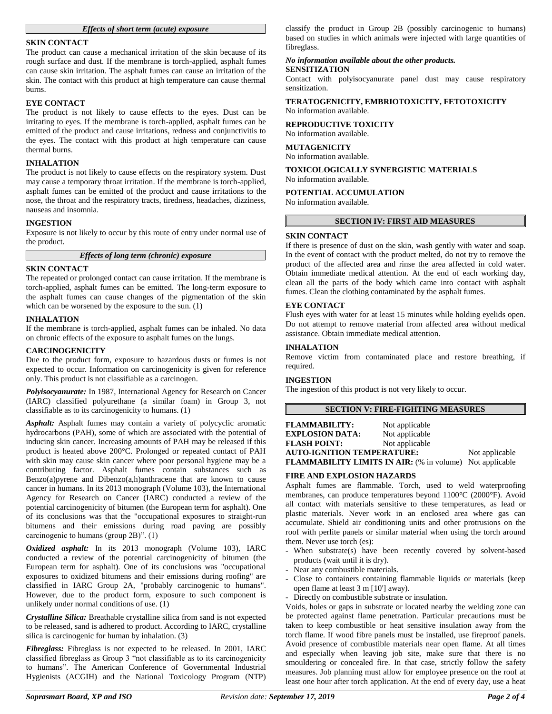# *Effects of short term (acute) exposure*

# **SKIN CONTACT**

The product can cause a mechanical irritation of the skin because of its rough surface and dust. If the membrane is torch-applied, asphalt fumes can cause skin irritation. The asphalt fumes can cause an irritation of the skin. The contact with this product at high temperature can cause thermal burns.

## **EYE CONTACT**

The product is not likely to cause effects to the eyes. Dust can be irritating to eyes. If the membrane is torch-applied, asphalt fumes can be emitted of the product and cause irritations, redness and conjunctivitis to the eyes. The contact with this product at high temperature can cause thermal burns.

# **INHALATION**

The product is not likely to cause effects on the respiratory system. Dust may cause a temporary throat irritation. If the membrane is torch-applied, asphalt fumes can be emitted of the product and cause irritations to the nose, the throat and the respiratory tracts, tiredness, headaches, dizziness, nauseas and insomnia.

### **INGESTION**

Exposure is not likely to occur by this route of entry under normal use of the product.

*Effects of long term (chronic) exposure*

### **SKIN CONTACT**

The repeated or prolonged contact can cause irritation. If the membrane is torch-applied, asphalt fumes can be emitted. The long-term exposure to the asphalt fumes can cause changes of the pigmentation of the skin which can be worsened by the exposure to the sun. (1)

#### **INHALATION**

If the membrane is torch-applied, asphalt fumes can be inhaled. No data on chronic effects of the exposure to asphalt fumes on the lungs.

# **CARCINOGENICITY**

Due to the product form, exposure to hazardous dusts or fumes is not expected to occur. Information on carcinogenicity is given for reference only. This product is not classifiable as a carcinogen.

*Polyisocyanurate:* In 1987, International Agency for Research on Cancer (IARC) classified polyurethane (a similar foam) in Group 3, not classifiable as to its carcinogenicity to humans. (1)

*Asphalt:* Asphalt fumes may contain a variety of polycyclic aromatic hydrocarbons (PAH), some of which are associated with the potential of inducing skin cancer. Increasing amounts of PAH may be released if this product is heated above 200°C. Prolonged or repeated contact of PAH with skin may cause skin cancer where poor personal hygiene may be a contributing factor. Asphalt fumes contain substances such as Benzo(a)pyrene and Dibenzo(a,h)anthracene that are known to cause cancer in humans. In its 2013 monograph (Volume 103), the International Agency for Research on Cancer (IARC) conducted a review of the potential carcinogenicity of bitumen (the European term for asphalt). One of its conclusions was that the "occupational exposures to straight-run bitumens and their emissions during road paving are possibly carcinogenic to humans (group 2B)". (1)

*Oxidized asphalt:* In its 2013 monograph (Volume 103), IARC conducted a review of the potential carcinogenicity of bitumen (the European term for asphalt). One of its conclusions was "occupational exposures to oxidized bitumens and their emissions during roofing" are classified in IARC Group 2A, "probably carcinogenic to humans". However, due to the product form, exposure to such component is unlikely under normal conditions of use. (1)

*Crystalline Silica:* Breathable crystalline silica from sand is not expected to be released, sand is adhered to product. According to IARC, crystalline silica is carcinogenic for human by inhalation. (3)

*Fibreglass:* Fibreglass is not expected to be released. In 2001, IARC classified fibreglass as Group 3 "not classifiable as to its carcinogenicity to humans". The American Conference of Governmental Industrial Hygienists (ACGIH) and the National Toxicology Program (NTP)

classify the product in Group 2B (possibly carcinogenic to humans) based on studies in which animals were injected with large quantities of fibreglass.

# *No information available about the other products.*

# **SENSITIZATION**

Contact with polyisocyanurate panel dust may cause respiratory sensitization.

**TERATOGENICITY, EMBRIOTOXICITY, FETOTOXICITY** No information available.

# **REPRODUCTIVE TOXICITY**

No information available.

# **MUTAGENICITY**

No information available.

#### **TOXICOLOGICALLY SYNERGISTIC MATERIALS** No information available.

**POTENTIAL ACCUMULATION**

No information available.

### **SECTION IV: FIRST AID MEASURES**

#### **SKIN CONTACT**

If there is presence of dust on the skin, wash gently with water and soap. In the event of contact with the product melted, do not try to remove the product of the affected area and rinse the area affected in cold water. Obtain immediate medical attention. At the end of each working day, clean all the parts of the body which came into contact with asphalt fumes. Clean the clothing contaminated by the asphalt fumes.

### **EYE CONTACT**

Flush eyes with water for at least 15 minutes while holding eyelids open. Do not attempt to remove material from affected area without medical assistance. Obtain immediate medical attention.

# **INHALATION**

Remove victim from contaminated place and restore breathing, if required.

#### **INGESTION**

The ingestion of this product is not very likely to occur.

# **SECTION V: FIRE-FIGHTING MEASURES**

| <b>FLAMMABILITY:</b>                                            | Not applicable |  |
|-----------------------------------------------------------------|----------------|--|
| <b>EXPLOSION DATA:</b>                                          | Not applicable |  |
| <b>FLASH POINT:</b>                                             | Not applicable |  |
| <b>AUTO-IGNITION TEMPERATURE:</b>                               | Not applicable |  |
| <b>FLAMMABILITY LIMITS IN AIR:</b> (% in volume) Not applicable |                |  |

### **FIRE AND EXPLOSION HAZARDS**

Asphalt fumes are flammable. Torch, used to weld waterproofing membranes, can produce temperatures beyond 1100°C (2000°F). Avoid all contact with materials sensitive to these temperatures, as lead or plastic materials. Never work in an enclosed area where gas can accumulate. Shield air conditioning units and other protrusions on the roof with perlite panels or similar material when using the torch around them. Never use torch (es):

- When substrate(s) have been recently covered by solvent-based products (wait until it is dry).
- Near any combustible materials.
- Close to containers containing flammable liquids or materials (keep open flame at least 3 m [10'] away).
- Directly on combustible substrate or insulation.

Voids, holes or gaps in substrate or located nearby the welding zone can be protected against flame penetration. Particular precautions must be taken to keep combustible or heat sensitive insulation away from the torch flame. If wood fibre panels must be installed, use fireproof panels. Avoid presence of combustible materials near open flame. At all times and especially when leaving job site, make sure that there is no smouldering or concealed fire. In that case, strictly follow the safety measures. Job planning must allow for employee presence on the roof at least one hour after torch application. At the end of every day, use a heat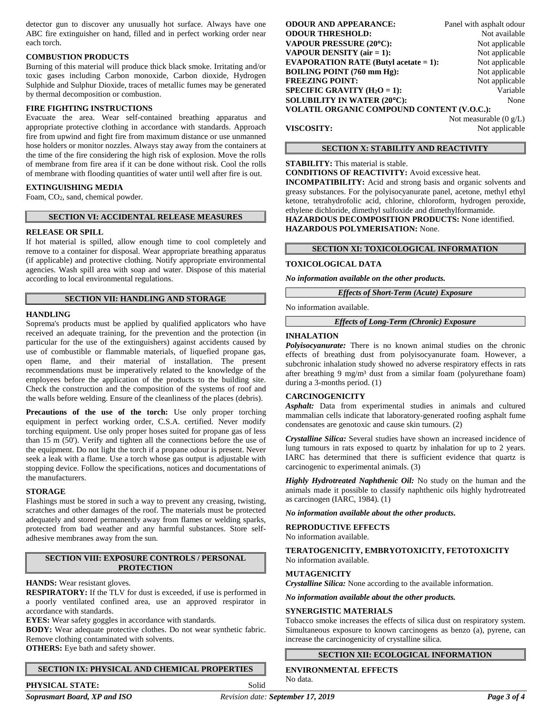detector gun to discover any unusually hot surface. Always have one ABC fire extinguisher on hand, filled and in perfect working order near each torch.

# **COMBUSTION PRODUCTS**

Burning of this material will produce thick black smoke. Irritating and/or toxic gases including Carbon monoxide, Carbon dioxide, Hydrogen Sulphide and Sulphur Dioxide, traces of metallic fumes may be generated by thermal decomposition or combustion.

# **FIRE FIGHTING INSTRUCTIONS**

Evacuate the area. Wear self-contained breathing apparatus and appropriate protective clothing in accordance with standards. Approach fire from upwind and fight fire from maximum distance or use unmanned hose holders or monitor nozzles. Always stay away from the containers at the time of the fire considering the high risk of explosion. Move the rolls of membrane from fire area if it can be done without risk. Cool the rolls of membrane with flooding quantities of water until well after fire is out.

# **EXTINGUISHING MEDIA**

Foam, CO2, sand, chemical powder.

# **SECTION VI: ACCIDENTAL RELEASE MEASURES**

### **RELEASE OR SPILL**

If hot material is spilled, allow enough time to cool completely and remove to a container for disposal. Wear appropriate breathing apparatus (if applicable) and protective clothing. Notify appropriate environmental agencies. Wash spill area with soap and water. Dispose of this material according to local environmental regulations.

# **SECTION VII: HANDLING AND STORAGE**

# **HANDLING**

Soprema's products must be applied by qualified applicators who have received an adequate training, for the prevention and the protection (in particular for the use of the extinguishers) against accidents caused by use of combustible or flammable materials, of liquefied propane gas, open flame, and their material of installation. The present recommendations must be imperatively related to the knowledge of the employees before the application of the products to the building site. Check the construction and the composition of the systems of roof and the walls before welding. Ensure of the cleanliness of the places (debris).

**Precautions of the use of the torch:** Use only proper torching equipment in perfect working order, C.S.A. certified. Never modify torching equipment. Use only proper hoses suited for propane gas of less than 15 m (50'). Verify and tighten all the connections before the use of the equipment. Do not light the torch if a propane odour is present. Never seek a leak with a flame. Use a torch whose gas output is adjustable with stopping device. Follow the specifications, notices and documentations of the manufacturers.

### **STORAGE**

Flashings must be stored in such a way to prevent any creasing, twisting, scratches and other damages of the roof. The materials must be protected adequately and stored permanently away from flames or welding sparks, protected from bad weather and any harmful substances. Store selfadhesive membranes away from the sun.

# **SECTION VIII: EXPOSURE CONTROLS / PERSONAL PROTECTION**

### **HANDS:** Wear resistant gloves.

**RESPIRATORY:** If the TLV for dust is exceeded, if use is performed in a poorly ventilated confined area, use an approved respirator in accordance with standards.

**EYES:** Wear safety goggles in accordance with standards.

**BODY:** Wear adequate protective clothes. Do not wear synthetic fabric. Remove clothing contaminated with solvents.

**OTHERS:** Eye bath and safety shower.

# **SECTION IX: PHYSICAL AND CHEMICAL PROPERTIES**

*Soprasmart Board, XP and ISO Revision date: September 17, 2019 Page 3 of 4*

| <b>ODOUR AND APPEARANCE:</b>                      | Panel with asphalt odour |  |  |  |
|---------------------------------------------------|--------------------------|--|--|--|
| <b>ODOUR THRESHOLD:</b>                           | Not available            |  |  |  |
| <b>VAPOUR PRESSURE (20°C):</b>                    | Not applicable           |  |  |  |
| <b>VAPOUR DENSITY</b> (air $= 1$ ):               | Not applicable           |  |  |  |
| <b>EVAPORATION RATE (Butyl acetate = 1):</b>      | Not applicable           |  |  |  |
| <b>BOILING POINT (760 mm Hg):</b>                 | Not applicable           |  |  |  |
| <b>FREEZING POINT:</b>                            | Not applicable           |  |  |  |
| SPECIFIC GRAVITY $(H_2O = 1)$ :                   | Variable                 |  |  |  |
| <b>SOLUBILITY IN WATER (20°C):</b>                | None                     |  |  |  |
| <b>VOLATIL ORGANIC COMPOUND CONTENT (V.O.C.):</b> |                          |  |  |  |

Not measurable (0 g/L)

**VISCOSITY:** Not applicable

# **SECTION X: STABILITY AND REACTIVITY**

# **STABILITY:** This material is stable.

**CONDITIONS OF REACTIVITY:** Avoid excessive heat.

**INCOMPATIBILITY:** Acid and strong basis and organic solvents and greasy substances. For the polyisocyanurate panel, acetone, methyl ethyl ketone, tetrahydrofolic acid, chlorine, chloroform, hydrogen peroxide, ethylene dichloride, dimethyl sulfoxide and dimethylformamide.

**HAZARDOUS DECOMPOSITION PRODUCTS:** None identified. **HAZARDOUS POLYMERISATION:** None.

# **SECTION XI: TOXICOLOGICAL INFORMATION**

### **TOXICOLOGICAL DATA**

*No information available on the other products.*

*Effects of Short-Term (Acute) Exposure*

No information available.

*Effects of Long-Term (Chronic) Exposure*

# **INHALATION**

*Polyisocyanurate:* There is no known animal studies on the chronic effects of breathing dust from polyisocyanurate foam. However, a subchronic inhalation study showed no adverse respiratory effects in rats after breathing 9 mg/m³ dust from a similar foam (polyurethane foam) during a 3-months period. (1)

# **CARCINOGENICITY**

*Asphalt:* Data from experimental studies in animals and cultured mammalian cells indicate that laboratory-generated roofing asphalt fume condensates are genotoxic and cause skin tumours. (2)

*Crystalline Silica:* Several studies have shown an increased incidence of lung tumours in rats exposed to quartz by inhalation for up to 2 years. IARC has determined that there is sufficient evidence that quartz is carcinogenic to experimental animals. (3)

*Highly Hydrotreated Naphthenic Oil:* No study on the human and the animals made it possible to classify naphthenic oils highly hydrotreated as carcinogen (IARC, 1984). (1)

*No information available about the other products.*

### **REPRODUCTIVE EFFECTS**

No information available.

**TERATOGENICITY, EMBRYOTOXICITY, FETOTOXICITY** No information available.

### **MUTAGENICITY**

*Crystalline Silica:* None according to the available information.

*No information available about the other products.*

### **SYNERGISTIC MATERIALS**

Tobacco smoke increases the effects of silica dust on respiratory system. Simultaneous exposure to known carcinogens as benzo (a), pyrene, can increase the carcinogenicity of crystalline silica.

**SECTION XII: ECOLOGICAL INFORMATION**

**ENVIRONMENTAL EFFECTS** No data.